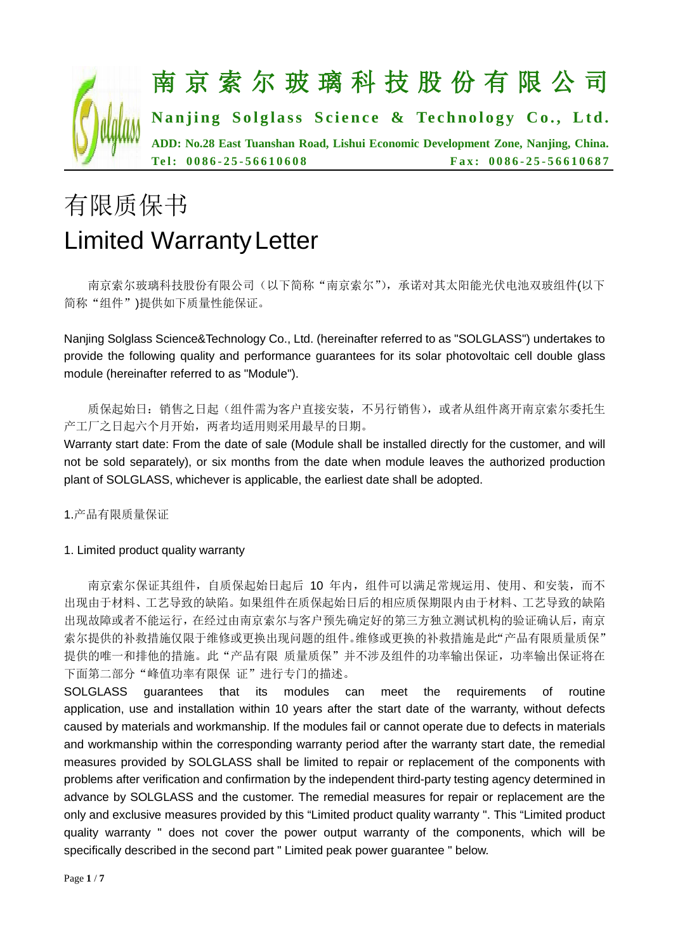

# 有限质保书 Limited WarrantyLetter

南京索尔玻璃科技股份有限公司(以下简称"南京索尔"),承诺对其太阳能光伏电池双玻组件(以下 简称"组件")提供如下质量性能保证。

Nanjing Solglass Science&Technology Co., Ltd. (hereinafter referred to as "SOLGLASS") undertakes to provide the following quality and performance guarantees for its solar photovoltaic cell double glass module (hereinafter referred to as "Module").

质保起始日:销售之日起(组件需为客户直接安装,不另行销售),或者从组件离开南京索尔委托生 产工厂之日起六个月开始,两者均适用则采用最早的日期。

Warranty start date: From the date of sale (Module shall be installed directly for the customer, and will not be sold separately), or six months from the date when module leaves the authorized production plant of SOLGLASS, whichever is applicable, the earliest date shall be adopted.

1.产品有限质量保证

# 1. Limited product quality warranty

南京索尔保证其组件,自质保起始日起后 10 年内,组件可以满足常规运用、使用、和安装,而不 出现由于材料、工艺导致的缺陷。如果组件在质保起始日后的相应质保期限内由于材料、工艺导致的缺陷 出现故障或者不能运行,在经过由南京索尔与客户预先确定好的第三方独立测试机构的验证确认后,南京 索尔提供的补救措施仅限于维修或更换出现问题的组件。维修或更换的补救措施是此"产品有限质量质保" 提供的唯一和排他的措施。此"产品有限 质量质保"并不涉及组件的功率输出保证,功率输出保证将在 下面第二部分"峰值功率有限保 证"进行专门的描述。

SOLGLASS guarantees that its modules can meet the requirements of routine application, use and installation within 10 years after the start date of the warranty, without defects caused by materials and workmanship. If the modules fail or cannot operate due to defects in materials and workmanship within the corresponding warranty period after the warranty start date, the remedial measures provided by SOLGLASS shall be limited to repair or replacement of the components with problems after verification and confirmation by the independent third-party testing agency determined in advance by SOLGLASS and the customer. The remedial measures for repair or replacement are the only and exclusive measures provided by this "Limited product quality warranty ". This "Limited product quality warranty " does not cover the power output warranty of the components, which will be specifically described in the second part " Limited peak power guarantee " below.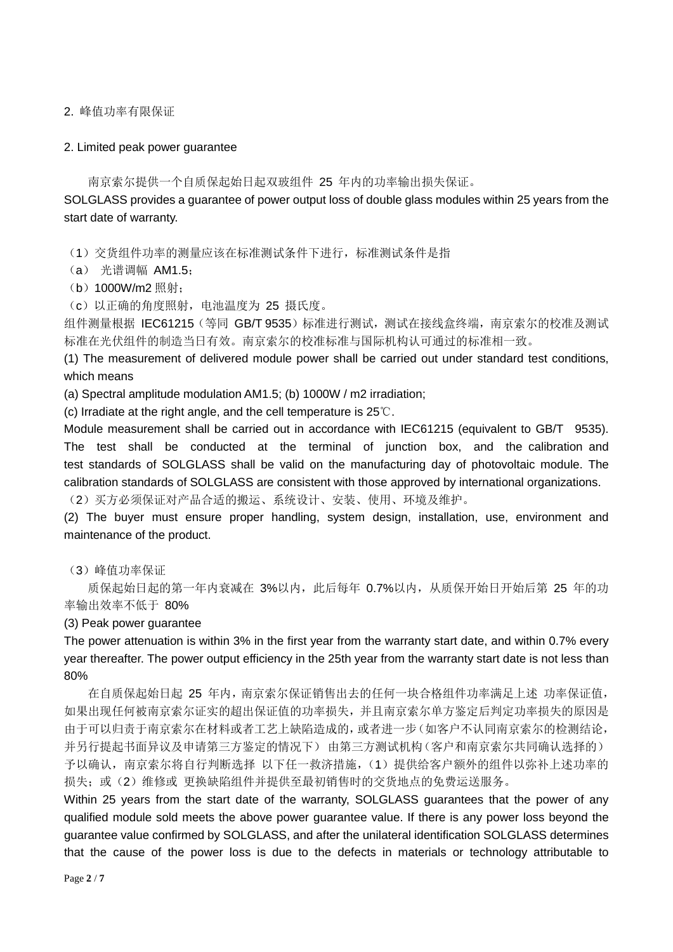2. 峰值功率有限保证

#### 2. Limited peak power guarantee

南京索尔提供一个自质保起始日起双玻组件 25 年内的功率输出损失保证。

SOLGLASS provides a guarantee of power output loss of double glass modules within 25 years from the start date of warranty.

(1)交货组件功率的测量应该在标准测试条件下进行,标准测试条件是指

(a) 光谱调幅 AM1.5;

(b)1000W/m2 照射;

(c) 以正确的角度照射, 电池温度为 25 摄氏度。

组件测量根据 IEC61215 (等同 GB/T 9535) 标准进行测试, 测试在接线盒终端, 南京索尔的校准及测试 标准在光伏组件的制造当日有效。南京索尔的校准标准与国际机构认可通过的标准相一致。

(1) The measurement of delivered module power shall be carried out under standard test conditions, which means

(a) Spectral amplitude modulation AM1.5; (b) 1000W / m2 irradiation;

(c) Irradiate at the right angle, and the cell temperature is 25℃.

Module measurement shall be carried out in accordance with IEC61215 (equivalent to GB/T 9535). The test shall be conducted at the terminal of junction box, and the calibration and test standards of SOLGLASS shall be valid on the manufacturing day of photovoltaic module. The calibration standards of SOLGLASS are consistent with those approved by international organizations.

(2)买方必须保证对产品合适的搬运、系统设计、安装、使用、环境及维护。

(2) The buyer must ensure proper handling, system design, installation, use, environment and maintenance of the product.

(3)峰值功率保证

质保起始日起的第一年内衰减在 3%以内,此后每年 0.7%以内,从质保开始日开始后第 25 年的功 率输出效率不低于 80%

#### (3) Peak power guarantee

The power attenuation is within 3% in the first year from the warranty start date, and within 0.7% every year thereafter. The power output efficiency in the 25th year from the warranty start date is not less than 80%

在自质保起始日起 25 年内,南京索尔保证销售出去的任何一块合格组件功率满足上述 功率保证值, 如果出现任何被南京索尔证实的超出保证值的功率损失,并且南京索尔单方鉴定后判定功率损失的原因是 由于可以归责于南京索尔在材料或者工艺上缺陷造成的,或者进一步(如客户不认同南京索尔的检测结论, 并另行提起书面异议及申请第三方鉴定的情况下) 由第三方测试机构(客户和南京索尔共同确认选择的) 予以确认,南京索尔将自行判断选择 以下任一救济措施,(1)提供给客户额外的组件以弥补上述功率的 损失;或(2)维修或 更换缺陷组件并提供至最初销售时的交货地点的免费运送服务。

Within 25 years from the start date of the warranty, SOLGLASS guarantees that the power of any qualified module sold meets the above power guarantee value. If there is any power loss beyond the guarantee value confirmed by SOLGLASS, and after the unilateral identification SOLGLASS determines that the cause of the power loss is due to the defects in materials or technology attributable to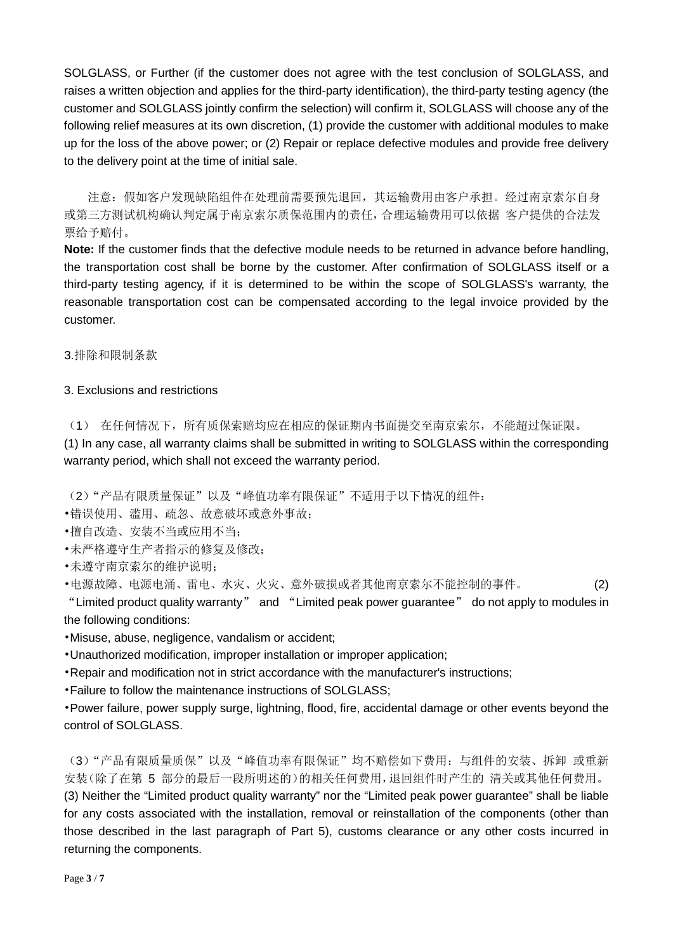SOLGLASS, or Further (if the customer does not agree with the test conclusion of SOLGLASS, and raises a written objection and applies for the third-party identification), the third-party testing agency (the customer and SOLGLASS jointly confirm the selection) will confirm it, SOLGLASS will choose any of the following relief measures at its own discretion, (1) provide the customer with additional modules to make up for the loss of the above power; or (2) Repair or replace defective modules and provide free delivery to the delivery point at the time of initial sale.

注意:假如客户发现缺陷组件在处理前需要预先退回,其运输费用由客户承担。经过南京索尔自身 或第三方测试机构确认判定属于南京索尔质保范围内的责任,合理运输费用可以依据 客户提供的合法发 票给予赔付。

**Note:** If the customer finds that the defective module needs to be returned in advance before handling, the transportation cost shall be borne by the customer. After confirmation of SOLGLASS itself or a third-party testing agency, if it is determined to be within the scope of SOLGLASS's warranty, the reasonable transportation cost can be compensated according to the legal invoice provided by the customer.

3.排除和限制条款

# 3. Exclusions and restrictions

(1) 在任何情况下,所有质保索赔均应在相应的保证期内书面提交至南京索尔,不能超过保证限。 (1) In any case, all warranty claims shall be submitted in writing to SOLGLASS within the corresponding warranty period, which shall not exceed the warranty period.

(2)"产品有限质量保证"以及"峰值功率有限保证"不适用于以下情况的组件:

•错误使用、滥用、疏忽、故意破坏或意外事故;

•擅自改造、安装不当或应用不当;

•未严格遵守生产者指示的修复及修改;

•未遵守南京索尔的维护说明;

•电源故障、电源电涌、雷电、水灾、火灾、意外破损或者其他南京索尔不能控制的事件。 (2)

"Limited product quality warranty" and "Limited peak power guarantee" do not apply to modules in the following conditions:

•Misuse, abuse, negligence, vandalism or accident;

•Unauthorized modification, improper installation or improper application;

•Repair and modification not in strict accordance with the manufacturer's instructions;

•Failure to follow the maintenance instructions of SOLGLASS;

•Power failure, power supply surge, lightning, flood, fire, accidental damage or other events beyond the control of SOLGLASS.

(3)"产品有限质量质保"以及"峰值功率有限保证"均不赔偿如下费用:与组件的安装、拆卸 或重新 安装(除了在第 5 部分的最后一段所明述的)的相关任何费用,退回组件时产生的 清关或其他任何费用。 (3) Neither the "Limited product quality warranty" nor the "Limited peak power guarantee" shall be liable for any costs associated with the installation, removal or reinstallation of the components (other than those described in the last paragraph of Part 5), customs clearance or any other costs incurred in returning the components.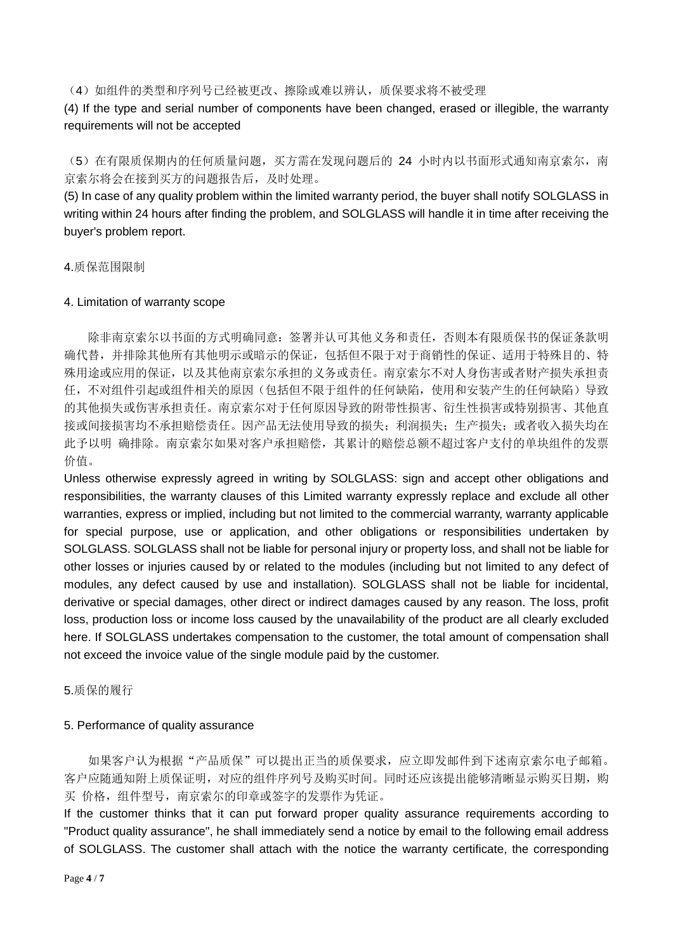(4)如组件的类型和序列号已经被更改、擦除或难以辨认,质保要求将不被受理

(4) If the type and serial number of components have been changed, erased or illegible, the warranty requirements will not be accepted

(5)在有限质保期内的任何质量问题,买方需在发现问题后的 24 小时内以书面形式通知南京索尔,南 京索尔将会在接到买方的问题报告后,及时处理。

(5) In case of any quality problem within the limited warranty period, the buyer shall notify SOLGLASS in writing within 24 hours after finding the problem, and SOLGLASS will handle it in time after receiving the buyer's problem report.

4.质保范围限制

#### 4. Limitation of warranty scope

除非南京索尔以书面的方式明确同意:签署并认可其他义务和责任,否则本有限质保书的保证条款明 确代替,并排除其他所有其他明示或暗示的保证,包括但不限于对于商销性的保证、适用于特殊目的、特 殊用途或应用的保证,以及其他南京索尔承担的义务或责任。南京索尔不对人身伤害或者财产损失承担责 任,不对组件引起或组件相关的原因(包括但不限于组件的任何缺陷,使用和安装产生的任何缺陷)导致 的其他损失或伤害承担责任。南京索尔对于任何原因导致的附带性损害、衍生性损害或特别损害、其他直 接或间接损害均不承担赔偿责任。因产品无法使用导致的损失;利润损失;生产损失;或者收入损失均在 此予以明 确排除。南京索尔如果对客户承担赔偿,其累计的赔偿总额不超过客户支付的单块组件的发票 价值。

Unless otherwise expressly agreed in writing by SOLGLASS: sign and accept other obligations and responsibilities, the warranty clauses of this Limited warranty expressly replace and exclude all other warranties, express or implied, including but not limited to the commercial warranty, warranty applicable for special purpose, use or application, and other obligations or responsibilities undertaken by SOLGLASS. SOLGLASS shall not be liable for personal injury or property loss, and shall not be liable for other losses or injuries caused by or related to the modules (including but not limited to any defect of modules, any defect caused by use and installation). SOLGLASS shall not be liable for incidental, derivative or special damages, other direct or indirect damages caused by any reason. The loss, profit loss, production loss or income loss caused by the unavailability of the product are all clearly excluded here. If SOLGLASS undertakes compensation to the customer, the total amount of compensation shall not exceed the invoice value of the single module paid by the customer.

#### 5.质保的履行

#### 5. Performance of quality assurance

如果客户认为根据"产品质保"可以提出正当的质保要求,应立即发邮件到下述南京索尔电子邮箱。 客户应随通知附上质保证明,对应的组件序列号及购买时间。同时还应该提出能够清晰显示购买日期,购 买 价格,组件型号,南京索尔的印章或签字的发票作为凭证。

If the customer thinks that it can put forward proper quality assurance requirements according to "Product quality assurance", he shall immediately send a notice by email to the following email address of SOLGLASS. The customer shall attach with the notice the warranty certificate, the corresponding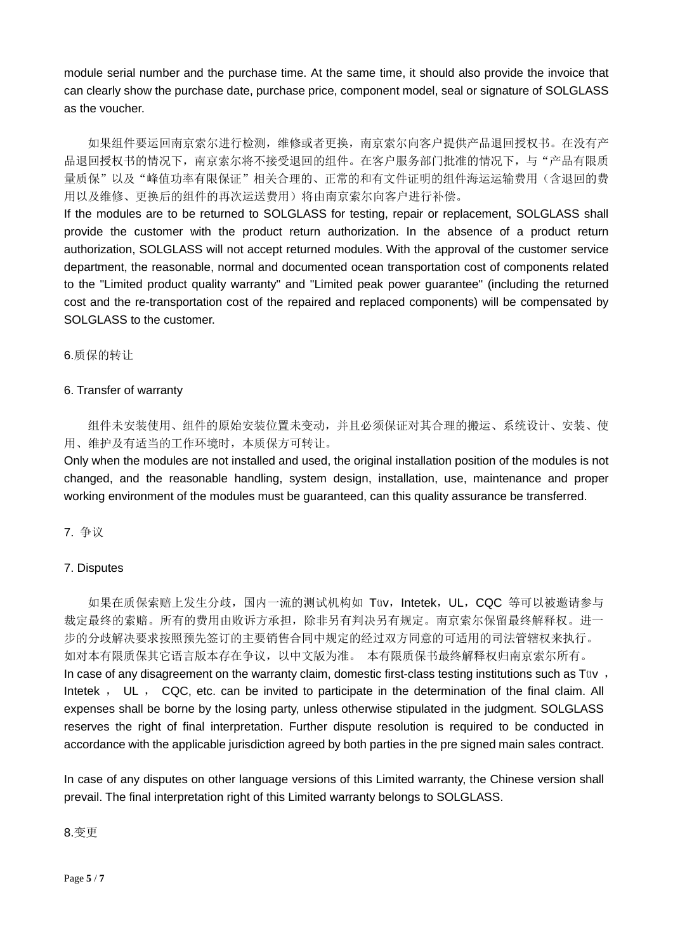module serial number and the purchase time. At the same time, it should also provide the invoice that can clearly show the purchase date, purchase price, component model, seal or signature of SOLGLASS as the voucher.

如果组件要运回南京索尔进行检测,维修或者更换,南京索尔向客户提供产品退回授权书。在没有产 品退回授权书的情况下,南京索尔将不接受退回的组件。在客户服务部门批准的情况下,与"产品有限质 量质保"以及"峰值功率有限保证"相关合理的、正常的和有文件证明的组件海运运输费用(含退回的费 用以及维修、更换后的组件的再次运送费用)将由南京索尔向客户进行补偿。

If the modules are to be returned to SOLGLASS for testing, repair or replacement, SOLGLASS shall provide the customer with the product return authorization. In the absence of a product return authorization, SOLGLASS will not accept returned modules. With the approval of the customer service department, the reasonable, normal and documented ocean transportation cost of components related to the "Limited product quality warranty" and "Limited peak power guarantee" (including the returned cost and the re-transportation cost of the repaired and replaced components) will be compensated by SOLGLASS to the customer.

# 6.质保的转让

#### 6. Transfer of warranty

组件未安装使用、组件的原始安装位置未变动,并且必须保证对其合理的搬运、系统设计、安装、使 用、维护及有适当的工作环境时,本质保方可转让。

Only when the modules are not installed and used, the original installation position of the modules is not changed, and the reasonable handling, system design, installation, use, maintenance and proper working environment of the modules must be guaranteed, can this quality assurance be transferred.

# 7. 争议

# 7. Disputes

如果在质保索赔上发生分歧,国内一流的测试机构如 Tüv, Intetek, UL, CQC 等可以被邀请参与 裁定最终的索赔。所有的费用由败诉方承担,除非另有判决另有规定。南京索尔保留最终解释权。进一 步的分歧解决要求按照预先签订的主要销售合同中规定的经过双方同意的可适用的司法管辖权来执行。 如对本有限质保其它语言版本存在争议,以中文版为准。 本有限质保书最终解释权归南京索尔所有。 In case of any disagreement on the warranty claim, domestic first-class testing institutions such as Tüv, Intetek , UL , CQC, etc. can be invited to participate in the determination of the final claim. All expenses shall be borne by the losing party, unless otherwise stipulated in the judgment. SOLGLASS reserves the right of final interpretation. Further dispute resolution is required to be conducted in accordance with the applicable jurisdiction agreed by both parties in the pre signed main sales contract.

In case of any disputes on other language versions of this Limited warranty, the Chinese version shall prevail. The final interpretation right of this Limited warranty belongs to SOLGLASS.

# 8.变更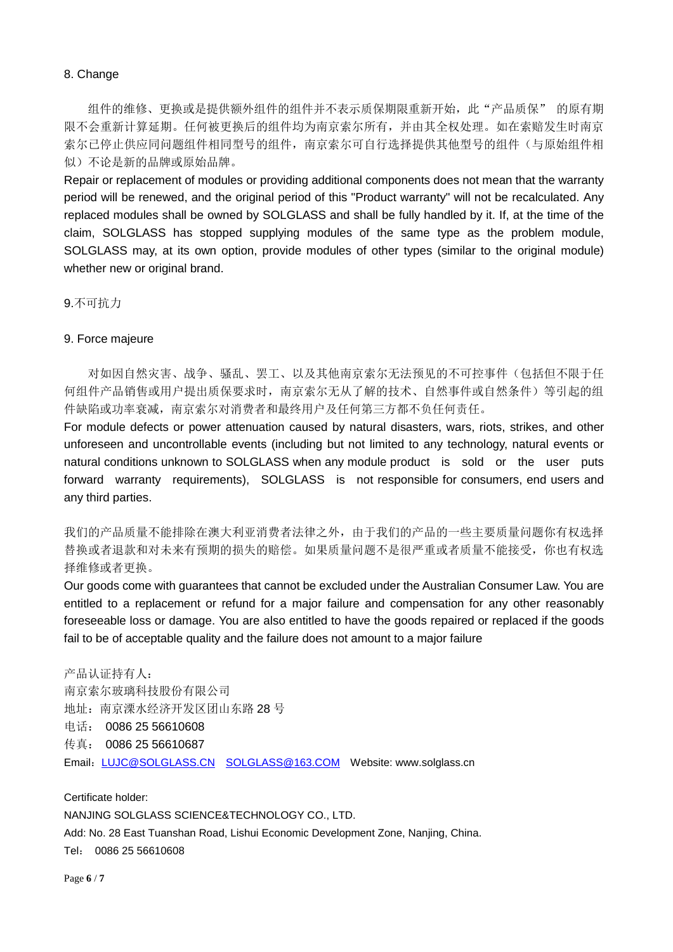# 8. Change

组件的维修、更换或是提供额外组件的组件并不表示质保期限重新开始,此"产品质保"的原有期 限不会重新计算延期。任何被更换后的组件均为南京索尔所有,并由其全权处理。如在索赔发生时南京 索尔已停止供应同问题组件相同型号的组件,南京索尔可自行选择提供其他型号的组件(与原始组件相 似)不论是新的品牌或原始品牌。

Repair or replacement of modules or providing additional components does not mean that the warranty period will be renewed, and the original period of this "Product warranty" will not be recalculated. Any replaced modules shall be owned by SOLGLASS and shall be fully handled by it. If, at the time of the claim, SOLGLASS has stopped supplying modules of the same type as the problem module, SOLGLASS may, at its own option, provide modules of other types (similar to the original module) whether new or original brand.

9.不可抗力

#### 9. Force majeure

对如因自然灾害、战争、骚乱、罢工、以及其他南京索尔无法预见的不可控事件(包括但不限于任 何组件产品销售或用户提出质保要求时,南京索尔无从了解的技术、自然事件或自然条件)等引起的组 件缺陷或功率衰减,南京索尔对消费者和最终用户及任何第三方都不负任何责任。

For module defects or power attenuation caused by natural disasters, wars, riots, strikes, and other unforeseen and uncontrollable events (including but not limited to any technology, natural events or natural conditions unknown to SOLGLASS when any module product is sold or the user puts forward warranty requirements), SOLGLASS is not responsible for consumers, end users and any third parties.

我们的产品质量不能排除在澳大利亚消费者法律之外,由于我们的产品的一些主要质量问题你有权选择 替换或者退款和对未来有预期的损失的赔偿。如果质量问题不是很严重或者质量不能接受,你也有权选 择维修或者更换。

Our goods come with guarantees that cannot be excluded under the Australian Consumer Law. You are entitled to a replacement or refund for a major failure and compensation for any other reasonably foreseeable loss or damage. You are also entitled to have the goods repaired or replaced if the goods fail to be of acceptable quality and the failure does not amount to a major failure

产品认证持有人: 南京索尔玻璃科技股份有限公司 地址:南京溧水经济开发区团山东路 28 号 电话: 0086 25 56610608 传真: 0086 25 56610687 Email: [LUJC@SOLGLASS.CN](mailto:LUJC@SOLGLASS.CN) [SOLGLASS@163.COM](mailto:SOLGLASS@163.COM) Website: www.solglass.cn

Certificate holder: NANJING SOLGLASS SCIENCE&TECHNOLOGY CO., LTD. Add: No. 28 East Tuanshan Road, Lishui Economic Development Zone, Nanjing, China. Tel: 0086 25 56610608